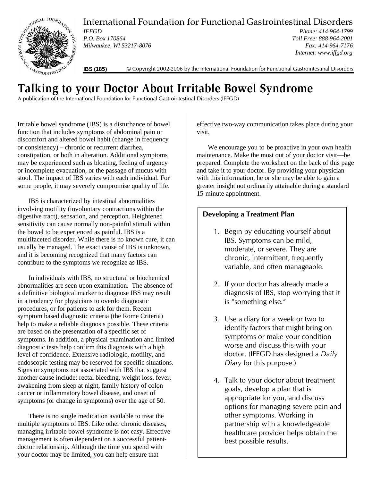

International Foundation for Functional Gastrointestinal Disorders

*IFFGD P.O. Box 170864 Milwaukee, WI 53217-8076*

*Phone: 414-964-1799 Toll Free: 888-964-2001 Fax: 414-964-7176 Internet: www.iffgd.org*

**IBS (185)** © Copyright 2002-2006 by the International Foundation for Functional Gastrointestinal Disorders

## **Talking to your Doctor About Irritable Bowel Syndrome**

A publication of the International Foundation for Functional Gastrointestinal Disorders (IFFGD)

Irritable bowel syndrome (IBS) is a disturbance of bowel function that includes symptoms of abdominal pain or discomfort and altered bowel habit (change in frequency or consistency) – chronic or recurrent diarrhea, constipation, or both in alteration. Additional symptoms may be experienced such as bloating, feeling of urgency or incomplete evacuation, or the passage of mucus with stool. The impact of IBS varies with each individual. For some people, it may severely compromise quality of life.

IBS is characterized by intestinal abnormalities involving motility (involuntary contractions within the digestive tract), sensation, and perception. Heightened sensitivity can cause normally non-painful stimuli within the bowel to be experienced as painful. IBS is a multifaceted disorder. While there is no known cure, it can usually be managed. The exact cause of IBS is unknown, and it is becoming recognized that many factors can contribute to the symptoms we recognize as IBS.

In individuals with IBS, no structural or biochemical abnormalities are seen upon examination. The absence of a definitive biological marker to diagnose IBS may result in a tendency for physicians to overdo diagnostic procedures, or for patients to ask for them. Recent symptom based diagnostic criteria (the Rome Criteria) help to make a reliable diagnosis possible. These criteria are based on the presentation of a specific set of symptoms. In addition, a physical examination and limited diagnostic tests help confirm this diagnosis with a high level of confidence. Extensive radiologic, motility, and endoscopic testing may be reserved for specific situations. Signs or symptoms not associated with IBS that suggest another cause include: rectal bleeding, weight loss, fever, awakening from sleep at night, family history of colon cancer or inflammatory bowel disease, and onset of symptoms (or change in symptoms) over the age of 50.

There is no single medication available to treat the multiple symptoms of IBS. Like other chronic diseases, managing irritable bowel syndrome is not easy. Effective management is often dependent on a successful patientdoctor relationship. Although the time you spend with your doctor may be limited, you can help ensure that

effective two-way communication takes place during your visit.

We encourage you to be proactive in your own health maintenance. Make the most out of your doctor visit—be prepared. Complete the worksheet on the back of this page and take it to your doctor. By providing your physician with this information, he or she may be able to gain a greater insight not ordinarily attainable during a standard 15-minute appointment.

## **Developing a Treatment Plan**

- 1. Begin by educating yourself about IBS. Symptoms can be mild, moderate, or severe. They are chronic, intermittent, frequently variable, and often manageable.
- 2. If your doctor has already made a diagnosis of IBS, stop worrying that it is "something else."
- 3. Use a diary for a week or two to identify factors that might bring on symptoms or make your condition worse and discuss this with your doctor. (IFFGD has designed a *Daily Diary* for this purpose.)
- 4. Talk to your doctor about treatment goals, develop a plan that is appropriate for you, and discuss options for managing severe pain and other symptoms. Working in partnership with a knowledgeable healthcare provider helps obtain the best possible results.